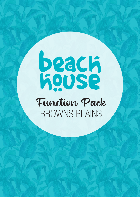# **Baach**<br>Repose Function Pack BROWNS PLAINS

**facebook.com/BeachHousebrownsplains** 

facebook.com/BeachHouseGC **brownsplains@beachhousebargrill.com**

facebook.com/ $B$ each $\mathcal{B}$ 

 $\mathcal{M}$  , and  $\mathcal{M}$  and  $\mathcal{M}$  with weight  $\mathcal{M}$ 

**www.communications** 

 $+0.87$  3420  $-0.7$  3420  $-0.7$  3420  $-0.7$  3420  $-0.7$ 

 $+0.7$  3420  $\mu$ 7 3420  $-1.7$   $\mu$   $\sim$   $+0.7$   $\mu$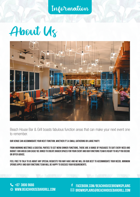Information





Beach House Bar & Grill boasts fabulous function areas that can make your next event one to remember.

Our venue can accommodate your next function, whether it's a small gathering or large party.

From morning meetings & cocktail parties to set menu dinner functions, there are a range of packages to suit every need and budget. Our areas can easily be joined to create bigger spaces for your event and our functions team is ready to help you decide or offer advice.

Feel free to talk to us about any special requests you may have and we will do our best to accommodate your needs. Minimum spends apply and our functions team will be happy to discuss your requirements.

**facebook.com/BeachHouseBROWNSPLAINS.com/**  $\tt{DUSEBARGRILL.COM} \qquad \qquad \textrm{≥}$  brownsplains@beachhousebargrill.com

 $\sim$  07 3420  $\mu$  3420  $\mu$  3420  $\mu$  3420  $\mu$  3420  $\mu$  3420  $\mu$  3420  $\mu$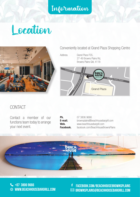Information

## Location



Conveniently located at Grand Plaza Shopping Centre

Address. Grand Plaza FS5, 27-49 Browns Plains Rd, Browns Plains Qld, 4118



#### CONTACT

Contact a member of our functions team today to arrange your next event.

| Ph.       |  |
|-----------|--|
| E-mail.   |  |
| Web.      |  |
| Facebook. |  |

07 3806 9666 brownsplains@beachhousebargrill.com Web. www.beachhousebargrill.com Facebook. facebook.com/BeachHouseBrownsPlains



**+07 3806 9666 example 107 3806 9666 www.beachhousebargrill.com** +07 3420 0711 www.beachhousebargrill.com

**facebook.com/BeachHouseBROWNSPLAINS.com/**  $\tt{DUSEBARGRILL.COM} \qquad \qquad \textrm{≥}$  brownsplains@beachhousebargrill.com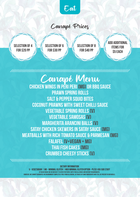

### Canapé Prices

**Selection of 4 for \$20 pp**

**Selection of 6 for \$30 pp**

**Selection of 8 for \$40 pp**

**Add additional items for \$5 each**

 $+0.24$  3420  $-0.24$  3420  $-0.24$  3420  $-0.24$  3420  $-0.24$  3520  $-0.24$  3520  $-0.24$  3520  $-0.24$  3720  $-0.24$  3720  $-0.24$  3720  $-0.24$  3720  $-0.24$  3720  $-0.24$  3720  $-0.24$  3720  $-0.24$  3720  $-0.24$  3720  $-0.24$  3720

Canapé Menu **Chicken Wings in Peri Peri (MG) or bbq sauce Prawn Spring Rolls Salt & Pepper Squid Bites Coconut Prawns with Sweet Chilli Sauce Vegetable Spring Rolls (v) Vegetable Samosas (v) Margherita Arancini Balls (V) Satay Chicken Skewers in Satay Sauce (MG) Meatballs with Rich Tomato Sauce & Parmesan (MG) Falafel (V+Vegan + mg) Thai Fish Cakes (MG) Crumbed Cheesy Sticks (v)**

**dietary information**

**V - Vegetarian | MG - minimal gluten | MGO minimal gluten option - plese ask our staff At beach house we do our best to cater for people with food allergies and dietary requirements. However, we cannot guarantee an environment completely free from allergens, so traces of some ingredients may still be present in our meals.**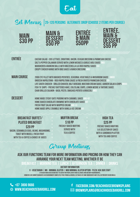

## Set Menus |**25-120 persons Alternate Drop (choose 2 items per course)**









#### **Entrée** Caesar salad - Cos Lettuce, Croutons, Bacon, Ceasar Dressing & Parmesan Cheese (MGo) Salt & Pepper Calamari served with Lemon Wedges & Garlic Aioli Sauce (MG) Margherita Arancini Balls with Mozzerella & a Rich Napoli Sauce (V) Crispy Chicken Wings with BBQ Sauce & Ranch Dressing (MG)

**MAIN COURSE** 2006 EYE FILLET WITH MASHED POTATOES, SEASONAL VEGETABLES & MUSHROOM SAUCE (MGO) Gnocchi Napolitana - Rich Napolitana Sauce & Fresh Grated Parmesan Cheese (V) Life Saver Chicken - Grilled Chicken, Half Avocado, Mustard cream Sauce, Garden Salad & Chips (MGo) Fish 'N' Chips - Freshly Battered Hake, Coleslaw, Chips, Lemon Wedge & Tartare Sauce Char Grilled Salmon - Basil Pesto, Smashed Potato & Broccoli (MG)

**DESSERT** HOME MADE STICKY DATE PUDDING WITH CARAMEL SAUCE (MG+V) HOME BAKED CHOCOLATE BROWNIE WITH CHOCOLATE SAUCE (V) Fresh Fruit Salad with Whipped Cream (MG+V) Home Made Apple Crumble with Vanilla Ice Cream (v)

#### **BREAKFAST BUFFET/ plated breakfast \$20 pp**

Bacon, Scrambled Eggs, Beans, Mushrooms, Toast with Museli, Fresh Fruit with Tea & Coffee & Choice of Juices

**Muffin Break \$18 pp** Freshly Baked Muffins served with Tea & Coffee

#### **High Tea \$25 pp** Freshly Baked Muffins & a Selection of Cakes WITH A SANDWICH PLATTER WITH TEA AND COFFEE

## Group Meetings

#### **Ask our functions team for more information and pricing on how they can arrange your next team meeting, whether it be**

**Breakfast | Morning Tea | Lunch | Afternoon Tea | Dinner | Drinks**

**dietary information**

**V - Vegetarian | MG - minimal gluten | MGO minimal gluten option - plese ask our staff At beach house we do our best to cater for people with food allergies and dietary requirements.**

**However, we cannot guarantee an environment completely free from allergens, so traces of some ingredients may still be present in our meals.**

**+07 3806 9666 example 107 3806 9666 www.beachhousebargrill.com** +07 3420 0711 www.beachhousebargrill.com

**facebook.com/BeachHouseBROWNSPLAINS.com/**  $\tt{DUSEBARGRILL.COM} \qquad \qquad \textrm{≥}$  brownsplains@beachhousebargrill.com

 $\sim$  07 3420  $\mu$  3420  $\mu$  3420  $\mu$  3420  $\mu$  3420  $\mu$  3420  $\mu$  3420  $\mu$  3420  $\mu$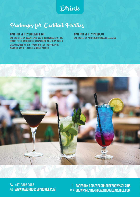Drink

## Packages for Cocktail Parties

#### **Bar Tab Set by Dollar Limit**

Bar Tab is set by Dollar Limit and is not limited by a time frame. The function holder may decide what they would like available on this type of bar tab. The functions manager can offer suggestions if needed.

**Bar Tab Set by Product** Bar Tab set by particular products selected.



**+07 3806 9666 example 107 3806 9666 www.beachhousebargrill.com** +07 3420 0711 www.beachhousebargrill.com

**facebook.com/BeachHouseBROWNSPLAINS.com/**  $\tt{DUSEBARGRILL.COM} \qquad \qquad \textrm{≥}$  brownsplains@beachhousebargrill.com

 $\sim$  07 3420  $\mu$  3420  $\mu$  3420  $\mu$  3420  $\mu$  3420  $\mu$  3420  $\mu$  3420  $\mu$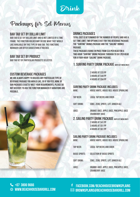Drink

## Packages for Set Menus

#### **Bar Tab Set by Dollar Limit**

Bar Tab is set by Dollar Limit and is not limited by a time frame. The function holder may decide what they would like available on this type of bar tab. The functions manager can offer suggestions if needed.

#### **Bar Tab Set by Product**

Bar Tab set by particular products selected.

#### **Custom Beverage Packages**

We are always happy to discuss any particular type of beverage package you would like, so if you feel none of our packages exactly meet your requirements, please do not hesitate to ask the Function Manager if variations are possible.

#### **Drinks Packages**

Total cost is determined by the number of people and has a set time limit. Two options exist for this beverage package: the "Surfing" drinks package and the "Sailing" drinks package.

These packages range in price from \$33 per head for a two-hour "Surfing" drink package through to \$61 per head for a four-hour "Sailing" drink package.

#### **1. SURFING PARTY DRINK PACKAGE (WITH SET MENU ONLY)**

2 HOURS AT \$33 PP 3 HOURS AT \$44 PP 4 HOURS AT \$54 PP

#### **Surfing Party Drink Package includes:**

| <b>WINF-</b>       | HOUSE WHITE, HOUSE RED, HOUSE SPARKLING                                                                                      |
|--------------------|------------------------------------------------------------------------------------------------------------------------------|
| <b>TAP BEER:</b>   | <b>LOCAL TAP BEERS AND CIDER</b>                                                                                             |
| <b>SOFT DRINK:</b> | COKE, ZERO, SPRITE, LIFT, GINGER ALE                                                                                         |
| <b>JUICE:</b>      | ORANGE JUICE, APPLE JUICE, PINEAPPLE JUICE<br><b>CRANBERRY JUICE</b>                                                         |
|                    | 2. SAILING PARTY DRINK PACKAGE (WITH SET MENU ONLY)<br>2 HOURS AT \$41 PP<br>3 HOURS AT \$51 PP<br><b>4 HOURS AT \$61 PP</b> |
|                    |                                                                                                                              |

#### **Sailing Party Drink Package includes:**

| <b>WINE:</b>          | <b>HOUSE WHITE, HOUSE RED, HOUSE SPARKLING</b>                        |
|-----------------------|-----------------------------------------------------------------------|
| <b>TAP BEER:</b>      | <b>LOCAL TAP BEERS AND CIDER</b>                                      |
| <b>BASIC SPIRITS:</b> | <b>SELECTION OF BASIC SPIRITS</b>                                     |
| <b>SOFT DRINK:</b>    | COKE, ZERO, SPRITE, LIFT, GINGER ALE                                  |
| <b>JUICE:</b>         | ORANGE JUICE, APPLE JUICE, PINEAPPLE JUICE,<br><b>CRANBERRY JUICE</b> |

**+07 3806 9666 example 107 3806 9666 www.beachhousebargrill.com** +07 3420 0711 www.beachhousebargrill.com

**facebook.com/BeachHouseBROWNSPLAINS.com/**  $\tt{DUSEBARGRILL.COM} \qquad \qquad \textrm{≥}$  brownsplains@beachhousebargrill.com

 $\sim$  07 3420  $\mu$  3420  $\mu$  3420  $\mu$  3420  $\mu$  3420  $\mu$  3420  $\mu$  3420  $\mu$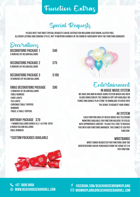## Function Extras

Special Requests

Please note that most special requests can be catered for including Vegetarian, Gluten-Free, Allergen Listings and Cooking Styles, not to mention changes in the room by agreement with the Functions Manager.

| Decoration<br><b>DECORATIONS PACKAGE 1</b><br><b>3 BUNCHES OF HELIUM BALLOONS</b>                                                                                                             | <b>\$40</b> |
|-----------------------------------------------------------------------------------------------------------------------------------------------------------------------------------------------|-------------|
| <b>DECORATIONS PACKAGE 2</b><br><b>6 BUNCHES OF HELIUM BALLOONS</b>                                                                                                                           | \$75        |
| Decorations Package 3<br><b>10 BUNCHES OF HELIUM BALLOONS</b>                                                                                                                                 | \$100       |
| <b>XMAS DECORATIONS PACKAGE</b><br><b>-3 BUNCHES OF HELIUM BALLOONS</b><br>-TARI F RIINNFRS<br>-FAIRY LIGHTS<br>-TEA LIGHTS<br>-CHRISMAS TABLE-TOPPERS<br>-RONRONS<br>-TINSEL & TABLE-TOPPERS | S90         |

#### **Birthday Package \$70**

-1 Number Balloons Bunch (e.g 1 & 8 for 18th) 4 bunch Helium Balloons table runners

#### **\*Custom Packages Available**





 $\sim$  07 3420  $\mu$  3420  $\mu$  3420  $\mu$  3420  $\mu$  3420  $\mu$  3420  $\mu$  3420  $\mu$  3420  $\mu$ 

**+07 3806 9666 example 107 3806 9666 www.beachhousebargrill.com** +07 3420 0711 www.beachhousebargrill.com

Entertainment **In House Music System** We have our own in house Audio System which has over 10,000 songs Run by the Crowd DJ App. App available on

iTunes and Google Play store to download to check into the venue to request your songs.

#### **AV SYSTEM**

Each function area at Beach House has television monitors available for function holders to utilise with appropriate content. Please feel free to discuss this with our functions manager. This comes at \$50 per function.

#### **WRISTBANDS**

WRIST BANDS REQUESTED FOR FUNCTIONS (BAR TAB identification) can be purchased from the venue at \$10 per function.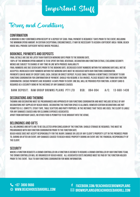Important Stuff

Terms and Conditions

#### **Confirmation**

A booking is only confirmed upon receipt of a deposit of \$300. Final payment is required 7 days prior to the event, including the minimum spend amount. In certain exceptional circumstances, it may be necessary to assign a different area/ room, Beach House will provide sufficient notice where possible.

#### **Bookings, Payments and Deposits**

Final details are due no later than fourteen working days prior to the booking date.

100% of the minimum spend amount is to be spent on food, beverage, decoration and function extras, excluding security. Menus are subject to change at any time in line with produce availability.

Final numbers are due seven days prior to the booking date. Decreased event numbers within five working days will not be accepted. Increased event numbers within five working days must be discussed with our Functions Coordinator. Payments can be made by credit card, cash, cheque or direct deposit. Please email through a remittance statement to our Functions Coordinator for confirmation of payment. Should you require a tax invoice, please request one from our Function Coordinator. Cheque payments are required 14 days prior to event. One bill will be provided per function. A credit card is required as a security bond in the instance of any damages caused.

**Bank Deposit: Raw Group Browns Plains Pty Ltd BSB: 084-004 A/C: 13-660-1438**

#### **Decorations and Theming**

Theming and decorating must be prearranged and approved by our Functions Coordinator and must include details of any decorations not supplied by Beach House. Decorating the function space is allowed, however certain decorations are not permitted (i.e. confetti, sticky tape, table scatters and party poppers). In the instance that these are used, the client is liable for any damages caused and/or cleaning expenses associated.

Apart from birthday cakes, no other food is permitted to be brought into the venue.

#### **Belongings and Gifts**

All belongings and gifts are to be collected upon conclusion of the function. Should storage be required, this must be prearranged with our Function Coordinator prior to the function date.

Beach House does not accept responsibility for the injury, damage or loss of any client's property left in the premises prior to, during or after an event. Any damages caused to Beach House property during an event are the financial responsibility of the client.

#### **SECURITY**

Where a function requests a crowd controller or a function is deemed to require a crowd controller by our functions team, the crowd controller will be organised by Beach House. All associated costs incurred must be paid by the function holder prior to the event. Talk to our Functions Coordinator for more information.

**facebook.com/BeachHouseBROWNSPLAINS.com/**  $\tt{DUSEBARGRILL.COM} \qquad \qquad \textrm{≥}$  brownsplains@beachhousebargrill.com

 $\sim$  07 3420  $\mu$  3420  $\mu$  3420  $\mu$  3420  $\mu$  3420  $\mu$  3420  $\mu$  3420  $\mu$  3420  $\mu$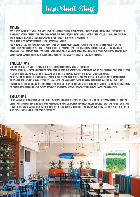## Important Stuff

#### **Minors**

Any guests under 18 years of age must have their parent/ legal guardian's supervision at all times and are restricted to movements within the function area only. Should a minor be found in other areas within the hotel unaccompanied, the minor and their parents/ legal guardians may be asked to leave the premise immediately.

All minors must vacate the premises no later than 10:00pm.

All minors attending a function must be outlined on the Minors Agreement form. In the instance, a minor is not on the submitted Minors Agreement form from the client, they may be denied entry along with their parents/ legal guardian. Beach House has zero-tolerance on underage drinking. Should a minor be found consuming alcohol the function may be shut down. Please consult our Functions Coordinator on any instance of a minor attending your event.

#### **Cancellations**

Written notification must be provided to the Functions Coordinator in all instances.

Notice outside 1 calendar month prior to the booking date, the deposit will be retained and held in trust for another date (for a six month period). Notice within 1 calendar month of the booking, 100% of the deposit will be retained. Notice within 14 days of the booking date 100% of the deposit will be retained and 100% of the agreed catering spend will be invoiced for payment within seven days. Any cancellation charged for third party items hired on behalf of the client is payable by the client. Change of date or postponement of the event booking will be treated as a cancellation at the discretion of your Functions Coordinator. Events booking in November/ December may have additional cancellation policies.

#### **Regulations**

Hotel Management and staff adhere to the laws governing the Responsible Service of Alcohol - Queensland Liquor Licensing Department. Patrons showing signs of undue intoxication or disorderly behaviour will be refused service and will be asked to leave the premises. Management has the right to exercise regulatory conditions at any time during a function if it is believed that the alcohol consumption rate is excessive.

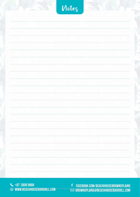|  | Notez |  |
|--|-------|--|
|  |       |  |
|  |       |  |
|  |       |  |
|  |       |  |
|  |       |  |
|  |       |  |
|  |       |  |
|  |       |  |
|  |       |  |
|  |       |  |

**+07 3806 9666 example 107 3806 9666 www.beachhousebargrill.com** +07 3420 0711 www.beachhousebargrill.com

**facebook.com/BeachHousebrownsplains**  facebook.com/BeachHouseGC **brownsplains@beachhousebargrill.com** rrownsdl ains@reachhi facerook.com/ReachHouseRROMASDLAINS.com